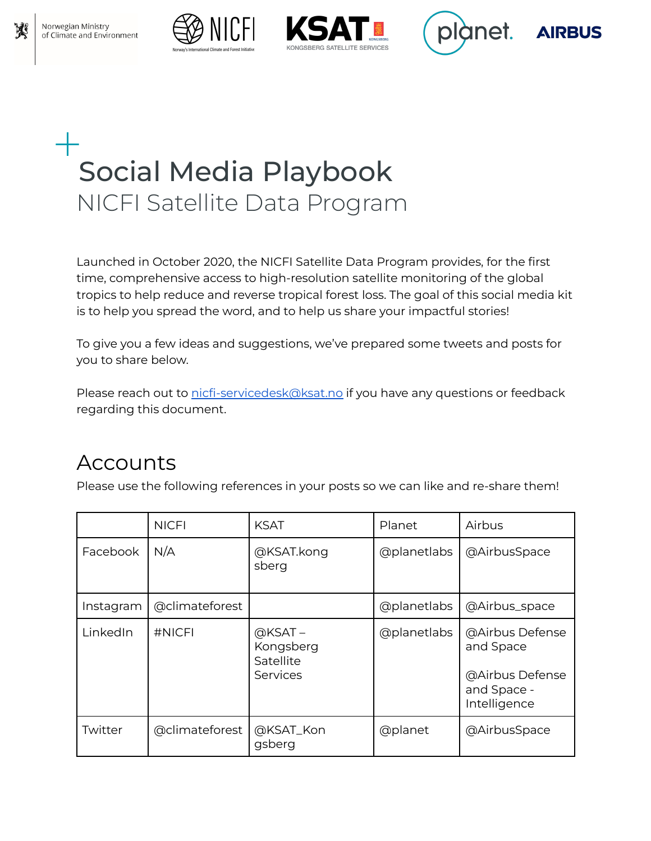







# Social Media Playbook NICFI Satellite Data Program

Launched in October 2020, the NICFI Satellite Data Program provides, for the first time, comprehensive access to high-resolution satellite monitoring of the global tropics to help reduce and reverse tropical forest loss. The goal of this social media kit is to help you spread the word, and to help us share your impactful stories!

To give you a few ideas and suggestions, we've prepared some tweets and posts for you to share below.

Please reach out to [nicfi-servicedesk@ksat.no](mailto:nicfi-servicedesk@ksat.no) if you have any questions or feedback regarding this document.

## Accounts

Please use the following references in your posts so we can like and re-share them!

|           | <b>NICFI</b>   | <b>KSAT</b>                                     | Planet      | Airbus                                                                         |
|-----------|----------------|-------------------------------------------------|-------------|--------------------------------------------------------------------------------|
| Facebook  | N/A            | @KSAT.kong<br>sberg                             | @planetlabs | @AirbusSpace                                                                   |
| Instagram | @climateforest |                                                 | @planetlabs | @Airbus_space                                                                  |
| LinkedIn  | #NICFI         | $@KSAT -$<br>Kongsberg<br>Satellite<br>Services | @planetlabs | @Airbus Defense<br>and Space<br>@Airbus Defense<br>and Space -<br>Intelligence |
| Twitter   | @climateforest | @KSAT_Kon<br>gsberg                             | @planet     | @AirbusSpace                                                                   |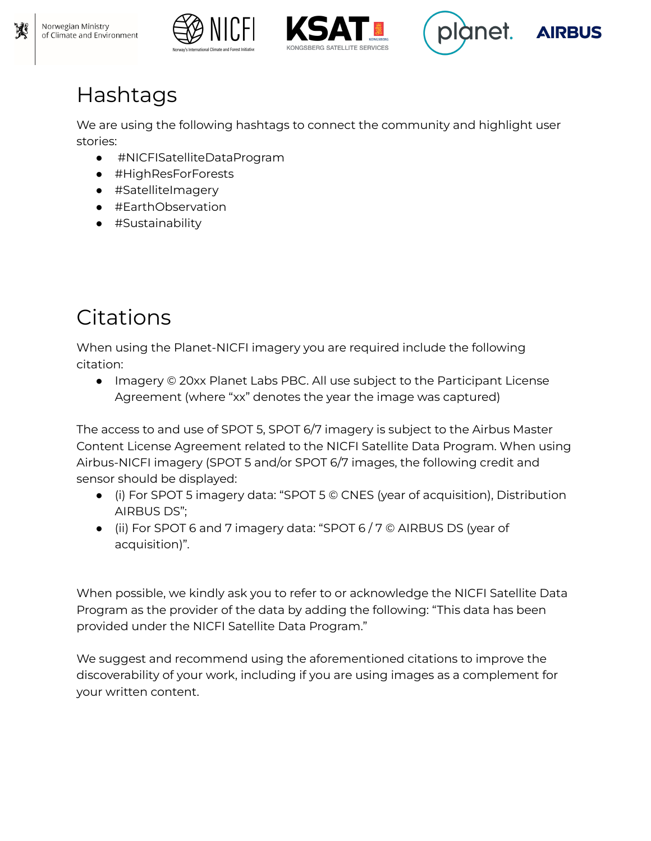







# Hashtags

We are using the following hashtags to connect the community and highlight user stories:

- #NICFISatelliteDataProgram
- #HighResForForests
- #SatelliteImagery
- #EarthObservation
- #Sustainability

# **Citations**

When using the Planet-NICFI imagery you are required include the following citation:

● Imagery © 20xx Planet Labs PBC. All use subject to the Participant License Agreement (where "xx" denotes the year the image was captured)

The access to and use of SPOT 5, SPOT 6/7 imagery is subject to the Airbus Master Content License Agreement related to the NICFI Satellite Data Program. When using Airbus-NICFI imagery (SPOT 5 and/or SPOT 6/7 images, the following credit and sensor should be displayed:

- (i) For SPOT 5 imagery data: "SPOT 5 © CNES (year of acquisition), Distribution AIRBUS DS";
- (ii) For SPOT 6 and 7 imagery data: "SPOT 6 / 7 © AIRBUS DS (year of acquisition)".

When possible, we kindly ask you to refer to or acknowledge the NICFI Satellite Data Program as the provider of the data by adding the following: "This data has been provided under the NICFI Satellite Data Program."

We suggest and recommend using the aforementioned citations to improve the discoverability of your work, including if you are using images as a complement for your written content.

Norwegian Ministry

of Climate and Environment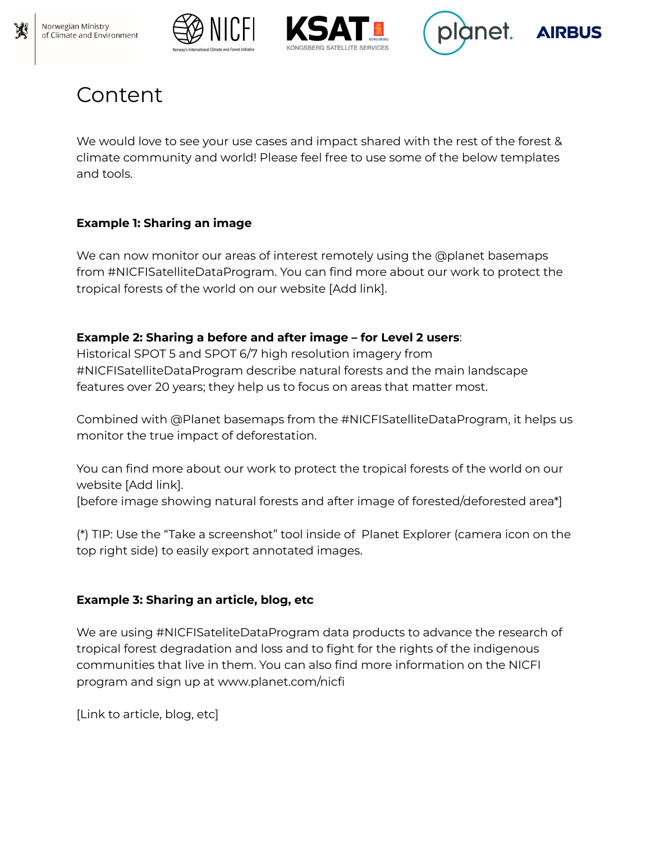









## Content

We would love to see your use cases and impact shared with the rest of the forest & climate community and world! Please feel free to use some of the below templates and tools.

#### **Example 1: Sharing an image**

We can now monitor our areas of interest remotely using the @planet basemaps from #NICFISatelliteDataProgram. You can find more about our work to protect the tropical forests of the world on our website [Add link].

#### **Example 2: Sharing a before and after image – for Level 2 users**:

Historical SPOT 5 and SPOT 6/7 high resolution imagery from #NICFISatelliteDataProgram describe natural forests and the main landscape features over 20 years; they help us to focus on areas that matter most.

Combined with @Planet basemaps from the #NICFISatelliteDataProgram, it helps us monitor the true impact of deforestation.

You can find more about our work to protect the tropical forests of the world on our website [Add link].

[before image showing natural forests and after image of forested/deforested area\*]

(\*) TIP: Use the "Take a screenshot" tool inside of Planet Explorer (camera icon on the top right side) to easily export annotated images.

#### **Example 3: Sharing an article, blog, etc**

We are using #NICFISateliteDataProgram data products to advance the research of tropical forest degradation and loss and to fight for the rights of the indigenous communities that live in them. You can also find more information on the NICFI program and sign up at www.planet.com/nicfi

[Link to article, blog, etc]